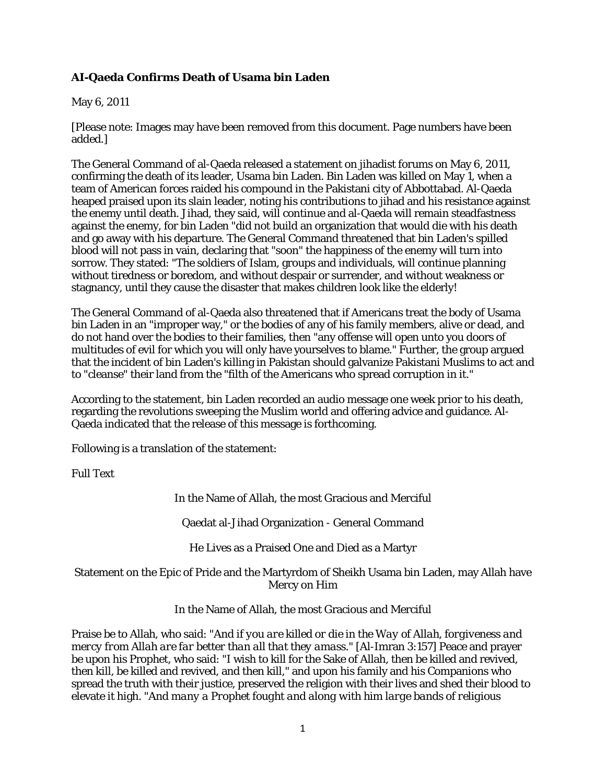# **AI-Qaeda Confirms Death of Usama bin Laden**

#### May 6, 2011

[Please note: Images may have been removed from this document. Page numbers have been added.]

The General Command of al-Qaeda released a statement on jihadist forums on May 6, 2011, confirming the death of its leader, Usama bin Laden. Bin Laden was killed on May 1, when a team of American forces raided his compound in the Pakistani city of Abbottabad. Al-Qaeda heaped praised upon its slain leader, noting his contributions to jihad and his resistance against the enemy until death. Jihad, they said, will continue and al-Qaeda will remain steadfastness against the enemy, for bin Laden "did not build an organization that would die with his death and go away with his departure. The General Command threatened that bin Laden's spilled blood will not pass in vain, declaring that "soon" the happiness of the enemy will turn into sorrow. They stated: "The soldiers of Islam, groups and individuals, will continue planning without tiredness or boredom, and without despair or surrender, and without weakness or stagnancy, until they cause the disaster that makes children look like the elderly!

The General Command of al-Qaeda also threatened that if Americans treat the body of Usama bin Laden in an "improper way," or the bodies of any of his family members, alive or dead, and do not hand over the bodies to their families, then "any offense will open unto you doors of multitudes of evil for which you will only have yourselves to blame." Further, the group argued that the incident of bin Laden's killing in Pakistan should galvanize Pakistani Muslims to act and to "cleanse" their land from the "filth of the Americans who spread corruption in it."

According to the statement, bin Laden recorded an audio message one week prior to his death, regarding the revolutions sweeping the Muslim world and offering advice and guidance. Al-Qaeda indicated that the release of this message is forthcoming.

Following is a translation of the statement:

Full Text

In the Name of Allah, the most Gracious and Merciful

Qaedat al-Jihad Organization - General Command

He Lives as a Praised One and Died as a Martyr

### Statement on the Epic of Pride and the Martyrdom of Sheikh Usama bin Laden, may Allah have Mercy on Him

In the Name of Allah, the most Gracious and Merciful

Praise be to Allah, who said: *"And if you are killed or die in the Way of Allah, forgiveness and mercy from Allah are far better than all that they amass."* [Al-Imran 3:157] Peace and prayer be upon his Prophet, who said: "I wish to kill for the Sake of Allah, then be killed and revived, then kill, be killed and revived, and then kill," and upon his family and his Companions who spread the truth with their justice, preserved the religion with their lives and shed their blood to elevate it high. *"And many a Prophet fought and along with him large bands of religious*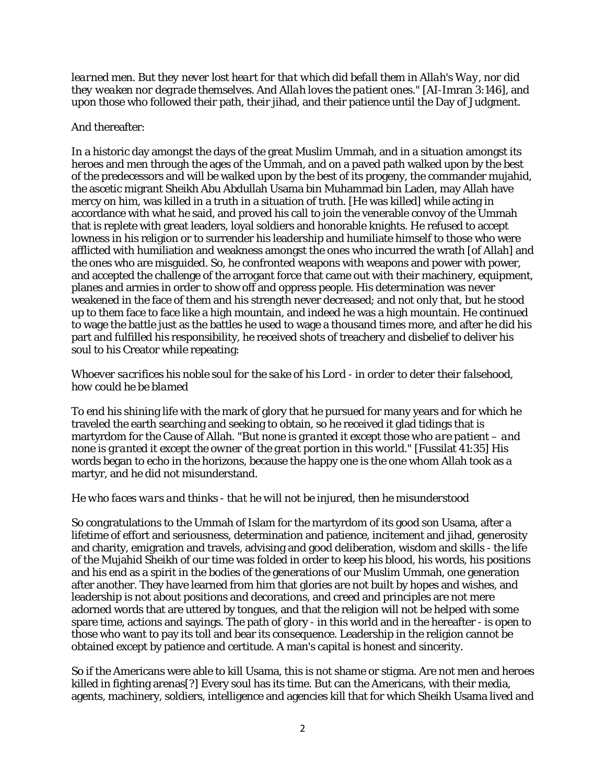*learned men. But they never lost heart for that which did befall them in Allah's Way, nor did they weaken nor degrade themselves. And Allah loves the patient ones."* [AI-Imran 3:146], and upon those who followed their path, their jihad, and their patience until the Day of Judgment.

### And thereafter:

In a historic day amongst the days of the great Muslim Ummah, and in a situation amongst its heroes and men through the ages of the Ummah, and on a paved path walked upon by the best of the predecessors and will be walked upon by the best of its progeny, the commander mujahid, the ascetic migrant Sheikh Abu Abdullah Usama bin Muhammad bin Laden, may Allah have mercy on him, was killed in a truth in a situation of truth. [He was killed] while acting in accordance with what he said, and proved his call to join the venerable convoy of the Ummah that is replete with great leaders, loyal soldiers and honorable knights. He refused to accept lowness in his religion or to surrender his leadership and humiliate himself to those who were afflicted with humiliation and weakness amongst the ones who incurred the wrath [of Allah] and the ones who are misguided. So, he confronted weapons with weapons and power with power, and accepted the challenge of the arrogant force that came out with their machinery, equipment, planes and armies in order to show off and oppress people. His determination was never weakened in the face of them and his strength never decreased; and not only that, but he stood up to them face to face like a high mountain, and indeed he was a high mountain. He continued to wage the battle just as the battles he used to wage a thousand times more, and after he did his part and fulfilled his responsibility, he received shots of treachery and disbelief to deliver his soul to his Creator while repeating:

# *Whoever sacrifices his noble soul for the sake of his Lord - in order to deter their falsehood, how could he be blamed*

To end his shining life with the mark of glory that he pursued for many years and for which he traveled the earth searching and seeking to obtain, so he received it glad tidings that is martyrdom for the Cause of Allah. *"But none is granted it except those who are patient – and none is granted it except the owner of the great portion in this world."* [Fussilat 41:35] His words began to echo in the horizons, because the happy one is the one whom Allah took as a martyr, and he did not misunderstand.

# *He who faces wars and thinks - that he will not be injured, then he misunderstood*

So congratulations to the Ummah of Islam for the martyrdom of its good son Usama, after a lifetime of effort and seriousness, determination and patience, incitement and jihad, generosity and charity, emigration and travels, advising and good deliberation, wisdom and skills - the life of the Mujahid Sheikh of our time was folded in order to keep his blood, his words, his positions and his end as a spirit in the bodies of the generations of our Muslim Ummah, one generation after another. They have learned from him that glories are not built by hopes and wishes, and leadership is not about positions and decorations, and creed and principles are not mere adorned words that are uttered by tongues, and that the religion will not be helped with some spare time, actions and sayings. The path of glory - in this world and in the hereafter - is open to those who want to pay its toll and bear its consequence. Leadership in the religion cannot be obtained except by patience and certitude. A man's capital is honest and sincerity.

So if the Americans were able to kill Usama, this is not shame or stigma. Are not men and heroes killed in fighting arenas[?] Every soul has its time. But can the Americans, with their media, agents, machinery, soldiers, intelligence and agencies kill that for which Sheikh Usama lived and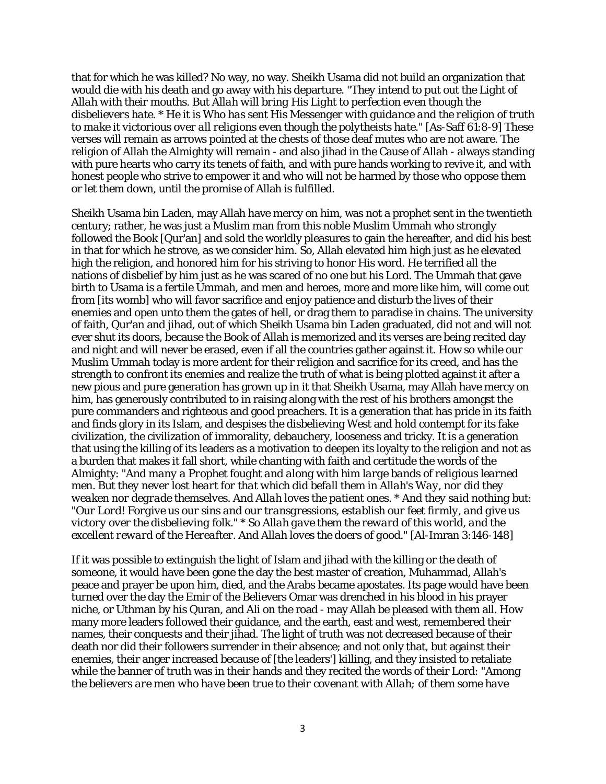that for which he was killed? No way, no way. Sheikh Usama did not build an organization that would die with his death and go away with his departure. *"They intend to put out the Light of Allah with their mouths. But Allah will bring His Light to perfection even though the disbelievers hate. \* He it is Who has sent His Messenger with guidance and the religion of truth to make it victorious over all religions even though the polytheists hate."* [As-Saff 61:8-9] These verses will remain as arrows pointed at the chests of those deaf mutes who are not aware. The religion of Allah the Almighty will remain - and also jihad in the Cause of Allah - always standing with pure hearts who carry its tenets of faith, and with pure hands working to revive it, and with honest people who strive to empower it and who will not be harmed by those who oppose them or let them down, until the promise of Allah is fulfilled.

Sheikh Usama bin Laden, may Allah have mercy on him, was not a prophet sent in the twentieth century; rather, he was just a Muslim man from this noble Muslim Ummah who strongly followed the Book [Qur'an] and sold the worldly pleasures to gain the hereafter, and did his best in that for which he strove, as we consider him. So, Allah elevated him high just as he elevated high the religion, and honored him for his striving to honor His word. He terrified all the nations of disbelief by him just as he was scared of no one but his Lord. The Ummah that gave birth to Usama is a fertile Ummah, and men and heroes, more and more like him, will come out from [its womb] who will favor sacrifice and enjoy patience and disturb the lives of their enemies and open unto them the gates of hell, or drag them to paradise in chains. The university of faith, Qur'an and jihad, out of which Sheikh Usama bin Laden graduated, did not and will not ever shut its doors, because the Book of Allah is memorized and its verses are being recited day and night and will never be erased, even if all the countries gather against it. How so while our Muslim Ummah today is more ardent for their religion and sacrifice for its creed, and has the strength to confront its enemies and realize the truth of what is being plotted against it after a new pious and pure generation has grown up in it that Sheikh Usama, may Allah have mercy on him, has generously contributed to in raising along with the rest of his brothers amongst the pure commanders and righteous and good preachers. It is a generation that has pride in its faith and finds glory in its Islam, and despises the disbelieving West and hold contempt for its fake civilization, the civilization of immorality, debauchery, looseness and tricky. It is a generation that using the killing of its leaders as a motivation to deepen its loyalty to the religion and not as a burden that makes it fall short, while chanting with faith and certitude the words of the Almighty: *"And many a Prophet fought and along with him large bands of religious learned men. But they never lost heart for that which did befall them in Allah's Way, nor did they weaken nor degrade themselves. And Allah loves the patient ones. \* And they said nothing but: "Our Lord! Forgive us our sins and our transgressions, establish our feet firmly, and give us victory over the disbelieving folk." \* So Allah gave them the reward of this world, and the excellent reward of the Hereafter. And Allah loves the doers of good."* [Al-Imran 3:146-148]

If it was possible to extinguish the light of Islam and jihad with the killing or the death of someone, it would have been gone the day the best master of creation, Muhammad, Allah's peace and prayer be upon him, died, and the Arabs became apostates. Its page would have been turned over the day the Emir of the Believers Omar was drenched in his blood in his prayer niche, or Uthman by his Quran, and Ali on the road - may Allah be pleased with them all. How many more leaders followed their guidance, and the earth, east and west, remembered their names, their conquests and their jihad. The light of truth was not decreased because of their death nor did their followers surrender in their absence; and not only that, but against their enemies, their anger increased because of [the leaders'] killing, and they insisted to retaliate while the banner of truth was in their hands and they recited the words of their Lord: *"Among the believers are men who have been true to their covenant with Allah; of them some have*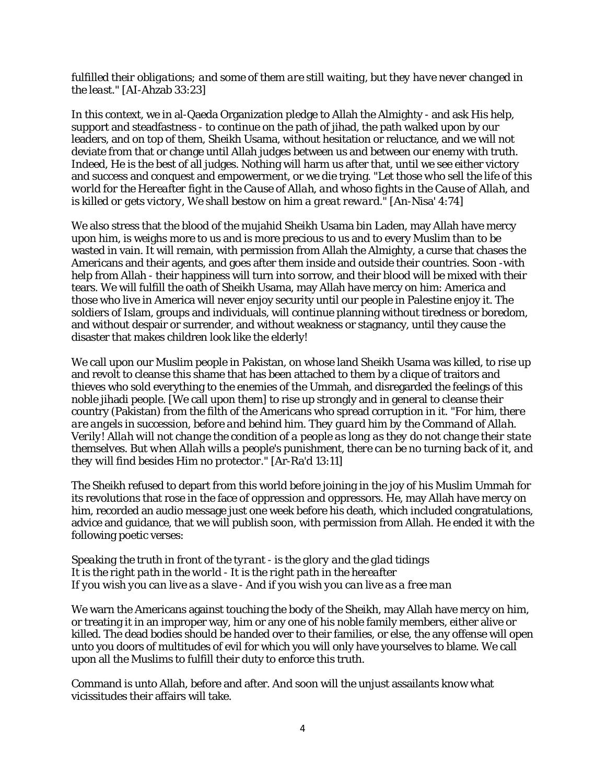### *fulfilled their obligations; and some of them are still waiting, but they have never changed in the least."* [AI-Ahzab 33:23]

In this context, we in al-Qaeda Organization pledge to Allah the Almighty - and ask His help, support and steadfastness - to continue on the path of jihad, the path walked upon by our leaders, and on top of them, Sheikh Usama, without hesitation or reluctance, and we will not deviate from that or change until Allah judges between us and between our enemy with truth. Indeed, He is the best of all judges. Nothing will harm us after that, until we see either victory and success and conquest and empowerment, or we die trying. *"Let those who sell the life of this world for the Hereafter fight in the Cause of Allah, and whoso fights in the Cause of Allah, and is killed or gets victory, We shall bestow on him a great reward.* "[An-Nisa' 4:74]

We also stress that the blood of the mujahid Sheikh Usama bin Laden, may Allah have mercy upon him, is weighs more to us and is more precious to us and to every Muslim than to be wasted in vain. It will remain, with permission from Allah the Almighty, a curse that chases the Americans and their agents, and goes after them inside and outside their countries. Soon -with help from Allah - their happiness will turn into sorrow, and their blood will be mixed with their tears. We will fulfill the oath of Sheikh Usama, may Allah have mercy on him: America and those who live in America will never enjoy security until our people in Palestine enjoy it. The soldiers of Islam, groups and individuals, will continue planning without tiredness or boredom, and without despair or surrender, and without weakness or stagnancy, until they cause the disaster that makes children look like the elderly!

We call upon our Muslim people in Pakistan, on whose land Sheikh Usama was killed, to rise up and revolt to cleanse this shame that has been attached to them by a clique of traitors and thieves who sold everything to the enemies of the Ummah, and disregarded the feelings of this noble jihadi people. [We call upon them] to rise up strongly and in general to cleanse their country (Pakistan) from the filth of the Americans who spread corruption in it. *"For him, there are angels in succession, before and behind him. They guard him by the Command of Allah. Verily! Allah will not change the condition of a people as long as they do not change their state themselves. But when Allah wills a people's punishment, there can be no turning back of it, and they will find besides Him no protector."* [Ar-Ra'd 13:11]

The Sheikh refused to depart from this world before joining in the joy of his Muslim Ummah for its revolutions that rose in the face of oppression and oppressors. He, may Allah have mercy on him, recorded an audio message just one week before his death, which included congratulations, advice and guidance, that we will publish soon, with permission from Allah. He ended it with the following poetic verses:

#### *Speaking the truth in front of the tyrant - is the glory and the glad tidings It is the right path in the world - It is the right path in the hereafter If you wish you can live as a slave - And if you wish you can live as a free man*

We warn the Americans against touching the body of the Sheikh, may Allah have mercy on him, or treating it in an improper way, him or any one of his noble family members, either alive or killed. The dead bodies should be handed over to their families, or else, the any offense will open unto you doors of multitudes of evil for which you will only have yourselves to blame. We call upon all the Muslims to fulfill their duty to enforce this truth.

Command is unto Allah, before and after. And soon will the unjust assailants know what vicissitudes their affairs will take.